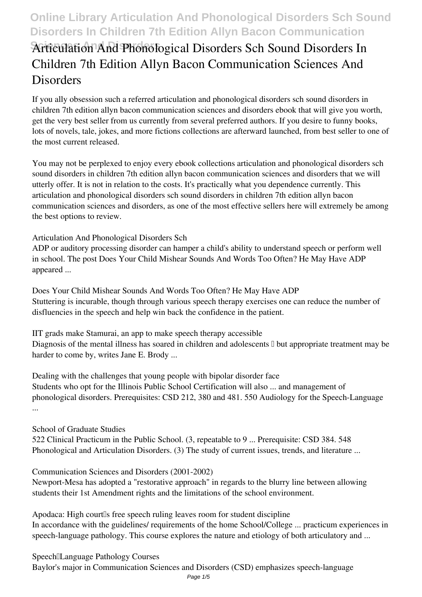## **Online Library Articulation And Phonological Disorders Sch Sound Disorders In Children 7th Edition Allyn Bacon Communication**

# **Sciences And Disorders Articulation And Phonological Disorders Sch Sound Disorders In Children 7th Edition Allyn Bacon Communication Sciences And Disorders**

If you ally obsession such a referred **articulation and phonological disorders sch sound disorders in children 7th edition allyn bacon communication sciences and disorders** ebook that will give you worth, get the very best seller from us currently from several preferred authors. If you desire to funny books, lots of novels, tale, jokes, and more fictions collections are afterward launched, from best seller to one of the most current released.

You may not be perplexed to enjoy every ebook collections articulation and phonological disorders sch sound disorders in children 7th edition allyn bacon communication sciences and disorders that we will utterly offer. It is not in relation to the costs. It's practically what you dependence currently. This articulation and phonological disorders sch sound disorders in children 7th edition allyn bacon communication sciences and disorders, as one of the most effective sellers here will extremely be among the best options to review.

#### *Articulation And Phonological Disorders Sch*

ADP or auditory processing disorder can hamper a child's ability to understand speech or perform well in school. The post Does Your Child Mishear Sounds And Words Too Often? He May Have ADP appeared ...

*Does Your Child Mishear Sounds And Words Too Often? He May Have ADP* Stuttering is incurable, though through various speech therapy exercises one can reduce the number of disfluencies in the speech and help win back the confidence in the patient.

*IIT grads make Stamurai, an app to make speech therapy accessible* Diagnosis of the mental illness has soared in children and adolescents  $\mathbb I$  but appropriate treatment may be harder to come by, writes Jane E. Brody ...

*Dealing with the challenges that young people with bipolar disorder face* Students who opt for the Illinois Public School Certification will also ... and management of phonological disorders. Prerequisites: CSD 212, 380 and 481. 550 Audiology for the Speech-Language ...

#### *School of Graduate Studies*

522 Clinical Practicum in the Public School. (3, repeatable to 9 ... Prerequisite: CSD 384. 548 Phonological and Articulation Disorders. (3) The study of current issues, trends, and literature ...

*Communication Sciences and Disorders (2001-2002)*

Newport-Mesa has adopted a "restorative approach" in regards to the blurry line between allowing students their 1st Amendment rights and the limitations of the school environment.

Apodaca: High court<sup>[]</sup>s free speech ruling leaves room for student discipline In accordance with the guidelines/ requirements of the home School/College ... practicum experiences in speech-language pathology. This course explores the nature and etiology of both articulatory and ...

*Speech‑Language Pathology Courses* Baylor's major in Communication Sciences and Disorders (CSD) emphasizes speech-language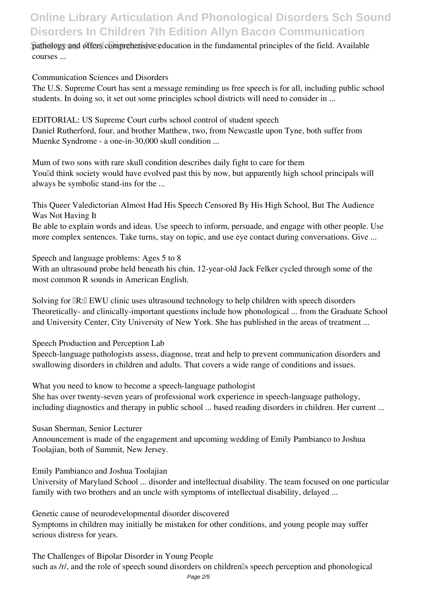# **Online Library Articulation And Phonological Disorders Sch Sound Disorders In Children 7th Edition Allyn Bacon Communication**

#### **Pathology and offers comprehensive education in the fundamental principles of the field. Available** courses ...

*Communication Sciences and Disorders*

The U.S. Supreme Court has sent a message reminding us free speech is for all, including public school students. In doing so, it set out some principles school districts will need to consider in ...

*EDITORIAL: US Supreme Court curbs school control of student speech* Daniel Rutherford, four, and brother Matthew, two, from Newcastle upon Tyne, both suffer from Muenke Syndrome - a one-in-30,000 skull condition ...

*Mum of two sons with rare skull condition describes daily fight to care for them* Yould think society would have evolved past this by now, but apparently high school principals will always be symbolic stand-ins for the ...

*This Queer Valedictorian Almost Had His Speech Censored By His High School, But The Audience Was Not Having It*

Be able to explain words and ideas. Use speech to inform, persuade, and engage with other people. Use more complex sentences. Take turns, stay on topic, and use eye contact during conversations. Give ...

*Speech and language problems: Ages 5 to 8*

With an ultrasound probe held beneath his chin, 12-year-old Jack Felker cycled through some of the most common R sounds in American English.

Solving for  $\mathbb{R}$ : EWU clinic uses ultrasound technology to help children with speech disorders Theoretically- and clinically-important questions include how phonological ... from the Graduate School and University Center, City University of New York. She has published in the areas of treatment ...

*Speech Production and Perception Lab*

Speech-language pathologists assess, diagnose, treat and help to prevent communication disorders and swallowing disorders in children and adults. That covers a wide range of conditions and issues.

*What you need to know to become a speech-language pathologist* She has over twenty-seven years of professional work experience in speech-language pathology, including diagnostics and therapy in public school ... based reading disorders in children. Her current ...

*Susan Sherman, Senior Lecturer*

Announcement is made of the engagement and upcoming wedding of Emily Pambianco to Joshua Toolajian, both of Summit, New Jersey.

*Emily Pambianco and Joshua Toolajian*

University of Maryland School ... disorder and intellectual disability. The team focused on one particular family with two brothers and an uncle with symptoms of intellectual disability, delayed ...

*Genetic cause of neurodevelopmental disorder discovered* Symptoms in children may initially be mistaken for other conditions, and young people may suffer serious distress for years.

*The Challenges of Bipolar Disorder in Young People* such as /r/, and the role of speech sound disorders on children<sup>[]</sup>s speech perception and phonological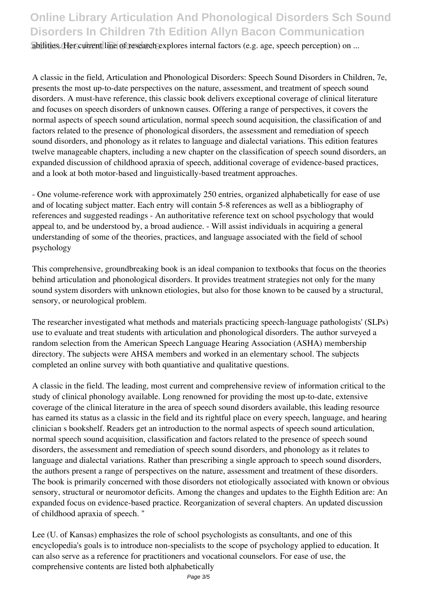abilities. Her current line of research explores internal factors (e.g. age, speech perception) on ...

A classic in the field, Articulation and Phonological Disorders: Speech Sound Disorders in Children, 7e, presents the most up-to-date perspectives on the nature, assessment, and treatment of speech sound disorders. A must-have reference, this classic book delivers exceptional coverage of clinical literature and focuses on speech disorders of unknown causes. Offering a range of perspectives, it covers the normal aspects of speech sound articulation, normal speech sound acquisition, the classification of and factors related to the presence of phonological disorders, the assessment and remediation of speech sound disorders, and phonology as it relates to language and dialectal variations. This edition features twelve manageable chapters, including a new chapter on the classification of speech sound disorders, an expanded discussion of childhood apraxia of speech, additional coverage of evidence-based practices, and a look at both motor-based and linguistically-based treatment approaches.

- One volume-reference work with approximately 250 entries, organized alphabetically for ease of use and of locating subject matter. Each entry will contain 5-8 references as well as a bibliography of references and suggested readings - An authoritative reference text on school psychology that would appeal to, and be understood by, a broad audience. - Will assist individuals in acquiring a general understanding of some of the theories, practices, and language associated with the field of school psychology

This comprehensive, groundbreaking book is an ideal companion to textbooks that focus on the theories behind articulation and phonological disorders. It provides treatment strategies not only for the many sound system disorders with unknown etiologies, but also for those known to be caused by a structural, sensory, or neurological problem.

The researcher investigated what methods and materials practicing speech-language pathologists' (SLPs) use to evaluate and treat students with articulation and phonological disorders. The author surveyed a random selection from the American Speech Language Hearing Association (ASHA) membership directory. The subjects were AHSA members and worked in an elementary school. The subjects completed an online survey with both quantiative and qualitative questions.

A classic in the field. The leading, most current and comprehensive review of information critical to the study of clinical phonology available. Long renowned for providing the most up-to-date, extensive coverage of the clinical literature in the area of speech sound disorders available, this leading resource has earned its status as a classic in the field and its rightful place on every speech, language, and hearing clinician s bookshelf. Readers get an introduction to the normal aspects of speech sound articulation, normal speech sound acquisition, classification and factors related to the presence of speech sound disorders, the assessment and remediation of speech sound disorders, and phonology as it relates to language and dialectal variations. Rather than prescribing a single approach to speech sound disorders, the authors present a range of perspectives on the nature, assessment and treatment of these disorders. The book is primarily concerned with those disorders not etiologically associated with known or obvious sensory, structural or neuromotor deficits. Among the changes and updates to the Eighth Edition are: An expanded focus on evidence-based practice. Reorganization of several chapters. An updated discussion of childhood apraxia of speech. "

Lee (U. of Kansas) emphasizes the role of school psychologists as consultants, and one of this encyclopedia's goals is to introduce non-specialists to the scope of psychology applied to education. It can also serve as a reference for practitioners and vocational counselors. For ease of use, the comprehensive contents are listed both alphabetically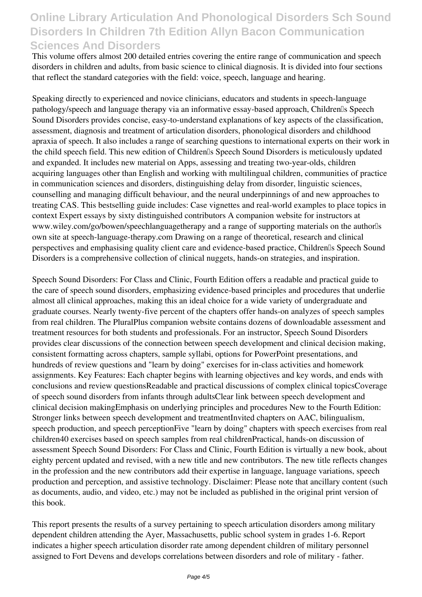## **Online Library Articulation And Phonological Disorders Sch Sound Disorders In Children 7th Edition Allyn Bacon Communication Sciences And Disorders**

This volume offers almost 200 detailed entries covering the entire range of communication and speech disorders in children and adults, from basic science to clinical diagnosis. It is divided into four sections that reflect the standard categories with the field: voice, speech, language and hearing.

Speaking directly to experienced and novice clinicians, educators and students in speech-language pathology/speech and language therapy via an informative essay-based approach, Children<sup>[]</sup>s Speech Sound Disorders provides concise, easy-to-understand explanations of key aspects of the classification, assessment, diagnosis and treatment of articulation disorders, phonological disorders and childhood apraxia of speech. It also includes a range of searching questions to international experts on their work in the child speech field. This new edition of Children's Speech Sound Disorders is meticulously updated and expanded. It includes new material on Apps, assessing and treating two-year-olds, children acquiring languages other than English and working with multilingual children, communities of practice in communication sciences and disorders, distinguishing delay from disorder, linguistic sciences, counselling and managing difficult behaviour, and the neural underpinnings of and new approaches to treating CAS. This bestselling guide includes: Case vignettes and real-world examples to place topics in context Expert essays by sixty distinguished contributors A companion website for instructors at www.wiley.com/go/bowen/speechlanguagetherapy and a range of supporting materials on the authorles own site at speech-language-therapy.com Drawing on a range of theoretical, research and clinical perspectives and emphasising quality client care and evidence-based practice, Children's Speech Sound Disorders is a comprehensive collection of clinical nuggets, hands-on strategies, and inspiration.

Speech Sound Disorders: For Class and Clinic, Fourth Edition offers a readable and practical guide to the care of speech sound disorders, emphasizing evidence-based principles and procedures that underlie almost all clinical approaches, making this an ideal choice for a wide variety of undergraduate and graduate courses. Nearly twenty-five percent of the chapters offer hands-on analyzes of speech samples from real children. The PluralPlus companion website contains dozens of downloadable assessment and treatment resources for both students and professionals. For an instructor, Speech Sound Disorders provides clear discussions of the connection between speech development and clinical decision making, consistent formatting across chapters, sample syllabi, options for PowerPoint presentations, and hundreds of review questions and "learn by doing" exercises for in-class activities and homework assignments. Key Features: Each chapter begins with learning objectives and key words, and ends with conclusions and review questionsReadable and practical discussions of complex clinical topicsCoverage of speech sound disorders from infants through adultsClear link between speech development and clinical decision makingEmphasis on underlying principles and procedures New to the Fourth Edition: Stronger links between speech development and treatmentInvited chapters on AAC, bilingualism, speech production, and speech perceptionFive "learn by doing" chapters with speech exercises from real children40 exercises based on speech samples from real childrenPractical, hands-on discussion of assessment Speech Sound Disorders: For Class and Clinic, Fourth Edition is virtually a new book, about eighty percent updated and revised, with a new title and new contributors. The new title reflects changes in the profession and the new contributors add their expertise in language, language variations, speech production and perception, and assistive technology. Disclaimer: Please note that ancillary content (such as documents, audio, and video, etc.) may not be included as published in the original print version of this book.

This report presents the results of a survey pertaining to speech articulation disorders among military dependent children attending the Ayer, Massachusetts, public school system in grades 1-6. Report indicates a higher speech articulation disorder rate among dependent children of military personnel assigned to Fort Devens and develops correlations between disorders and role of military - father.